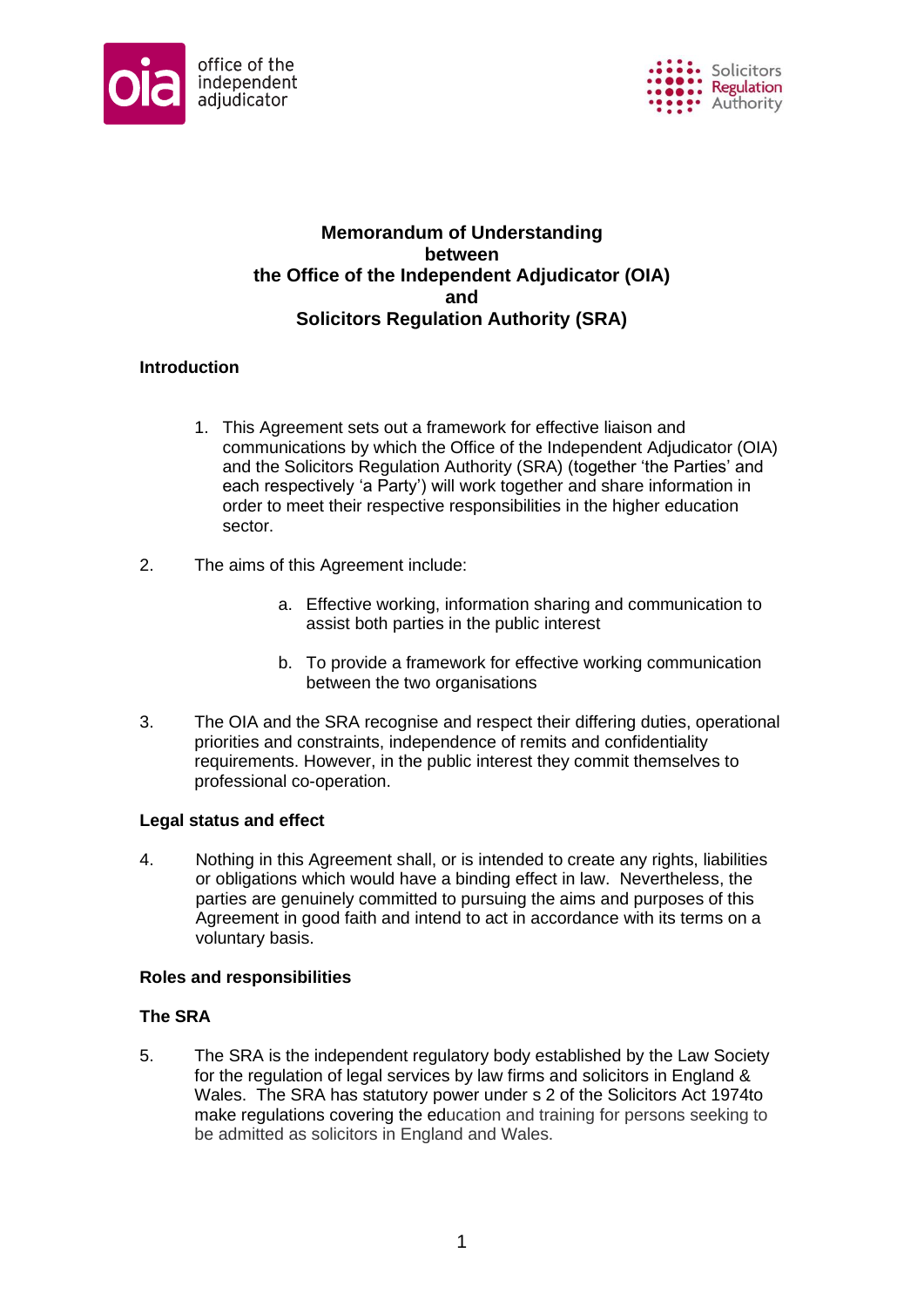



# **Memorandum of Understanding between the Office of the Independent Adjudicator (OIA) and Solicitors Regulation Authority (SRA)**

## **Introduction**

- 1. This Agreement sets out a framework for effective liaison and communications by which the Office of the Independent Adjudicator (OIA) and the Solicitors Regulation Authority (SRA) (together 'the Parties' and each respectively 'a Party') will work together and share information in order to meet their respective responsibilities in the higher education sector.
- 2. The aims of this Agreement include:
	- a. Effective working, information sharing and communication to assist both parties in the public interest
	- b. To provide a framework for effective working communication between the two organisations
- 3. The OIA and the SRA recognise and respect their differing duties, operational priorities and constraints, independence of remits and confidentiality requirements. However, in the public interest they commit themselves to professional co-operation.

## **Legal status and effect**

4. Nothing in this Agreement shall, or is intended to create any rights, liabilities or obligations which would have a binding effect in law. Nevertheless, the parties are genuinely committed to pursuing the aims and purposes of this Agreement in good faith and intend to act in accordance with its terms on a voluntary basis.

## **Roles and responsibilities**

## **The SRA**

5. The SRA is the independent regulatory body established by the Law Society for the regulation of legal services by law firms and solicitors in England & Wales. The SRA has statutory power under s 2 of the Solicitors Act 1974to make regulations covering the education and training for persons seeking to be admitted as solicitors in England and Wales.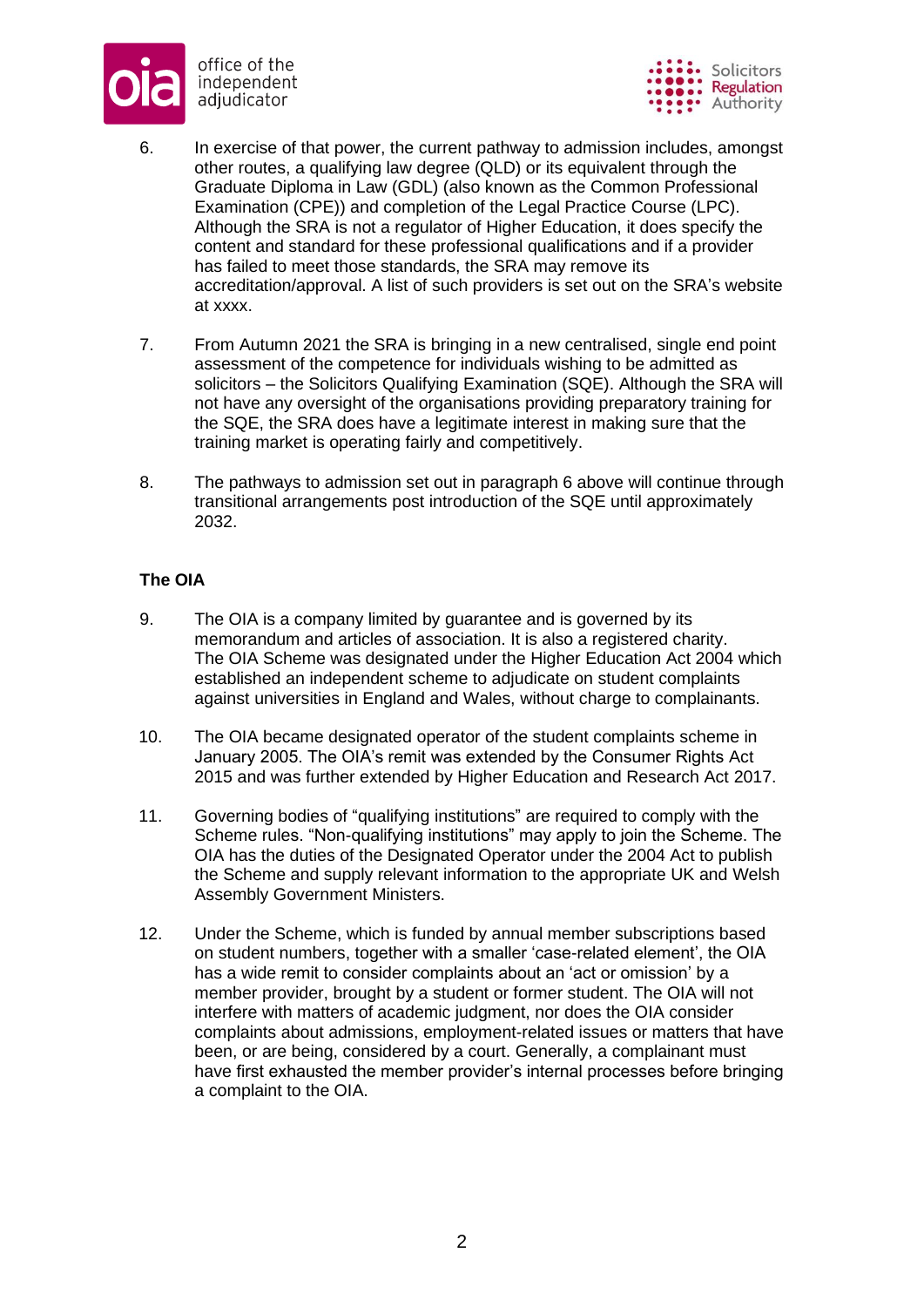



- 6. In exercise of that power, the current pathway to admission includes, amongst other routes, a qualifying law degree (QLD) or its equivalent through the Graduate Diploma in Law (GDL) (also known as the Common Professional Examination (CPE)) and completion of the Legal Practice Course (LPC). Although the SRA is not a regulator of Higher Education, it does specify the content and standard for these professional qualifications and if a provider has failed to meet those standards, the SRA may remove its accreditation/approval. A list of such providers is set out on the SRA's website at xxxx.
- 7. From Autumn 2021 the SRA is bringing in a new centralised, single end point assessment of the competence for individuals wishing to be admitted as solicitors – the Solicitors Qualifying Examination (SQE). Although the SRA will not have any oversight of the organisations providing preparatory training for the SQE, the SRA does have a legitimate interest in making sure that the training market is operating fairly and competitively.
- 8. The pathways to admission set out in paragraph 6 above will continue through transitional arrangements post introduction of the SQE until approximately 2032.

# **The OIA**

- 9. The OIA is a company limited by guarantee and is governed by its memorandum and articles of association. It is also a registered charity. The OIA Scheme was designated under the Higher Education Act 2004 which established an independent scheme to adjudicate on student complaints against universities in England and Wales, without charge to complainants.
- 10. The OIA became designated operator of the student complaints scheme in January 2005. The OIA's remit was extended by the Consumer Rights Act 2015 and was further extended by Higher Education and Research Act 2017.
- 11. Governing bodies of "qualifying institutions" are required to comply with the Scheme rules. "Non-qualifying institutions" may apply to join the Scheme. The OIA has the duties of the Designated Operator under the 2004 Act to publish the Scheme and supply relevant information to the appropriate UK and Welsh Assembly Government Ministers.
- 12. Under the Scheme, which is funded by annual member subscriptions based on student numbers, together with a smaller 'case-related element', the OIA has a wide remit to consider complaints about an 'act or omission' by a member provider, brought by a student or former student. The OIA will not interfere with matters of academic judgment, nor does the OIA consider complaints about admissions, employment-related issues or matters that have been, or are being, considered by a court. Generally, a complainant must have first exhausted the member provider's internal processes before bringing a complaint to the OIA.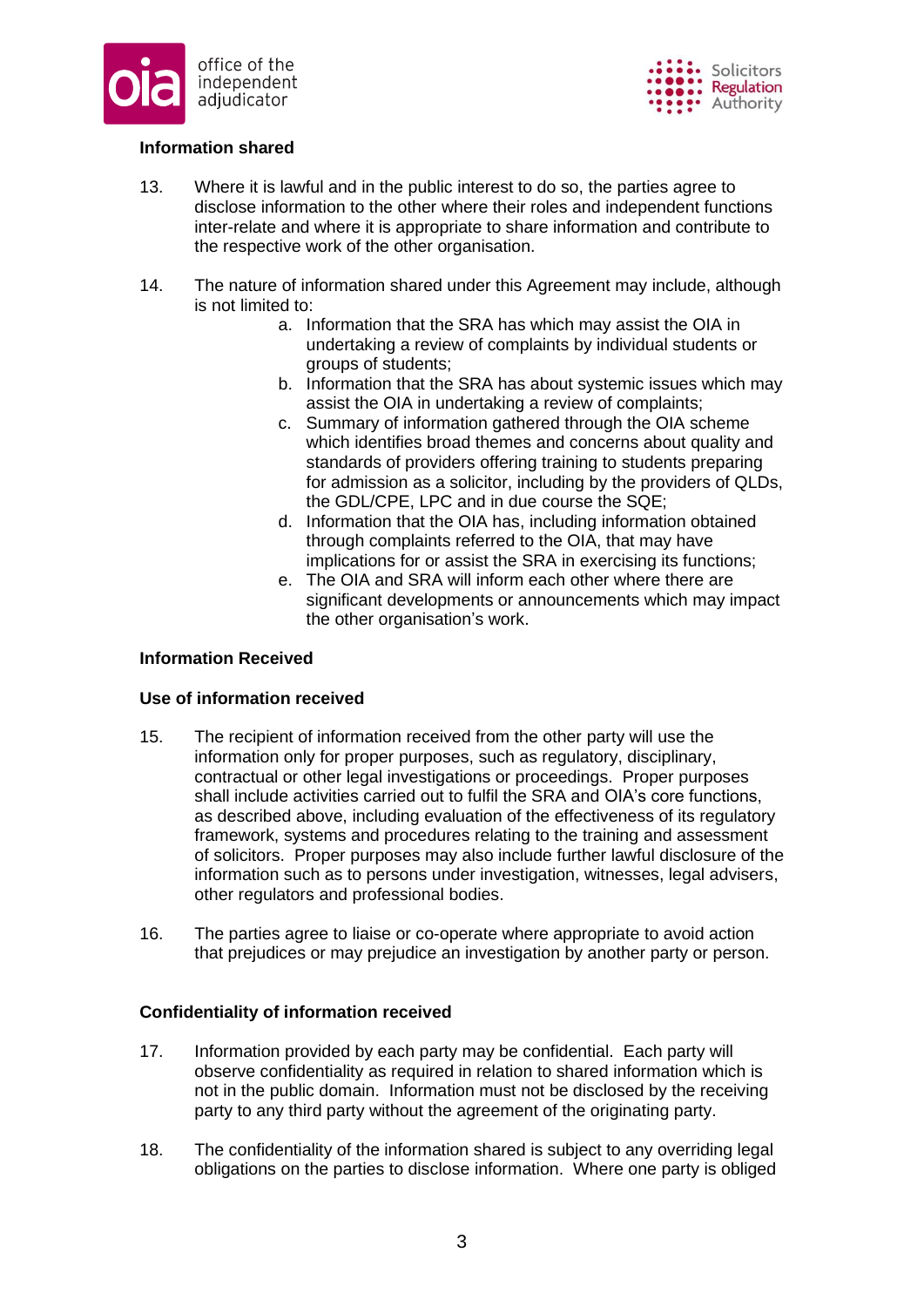



## **Information shared**

- 13. Where it is lawful and in the public interest to do so, the parties agree to disclose information to the other where their roles and independent functions inter-relate and where it is appropriate to share information and contribute to the respective work of the other organisation.
- 14. The nature of information shared under this Agreement may include, although is not limited to:
	- a. Information that the SRA has which may assist the OIA in undertaking a review of complaints by individual students or groups of students;
	- b. Information that the SRA has about systemic issues which may assist the OIA in undertaking a review of complaints;
	- c. Summary of information gathered through the OIA scheme which identifies broad themes and concerns about quality and standards of providers offering training to students preparing for admission as a solicitor, including by the providers of QLDs, the GDL/CPE, LPC and in due course the SQE;
	- d. Information that the OIA has, including information obtained through complaints referred to the OIA, that may have implications for or assist the SRA in exercising its functions;
	- e. The OIA and SRA will inform each other where there are significant developments or announcements which may impact the other organisation's work.

## **Information Received**

## **Use of information received**

- 15. The recipient of information received from the other party will use the information only for proper purposes, such as regulatory, disciplinary, contractual or other legal investigations or proceedings. Proper purposes shall include activities carried out to fulfil the SRA and OIA's core functions, as described above, including evaluation of the effectiveness of its regulatory framework, systems and procedures relating to the training and assessment of solicitors. Proper purposes may also include further lawful disclosure of the information such as to persons under investigation, witnesses, legal advisers, other regulators and professional bodies.
- 16. The parties agree to liaise or co-operate where appropriate to avoid action that prejudices or may prejudice an investigation by another party or person.

## **Confidentiality of information received**

- 17. Information provided by each party may be confidential. Each party will observe confidentiality as required in relation to shared information which is not in the public domain. Information must not be disclosed by the receiving party to any third party without the agreement of the originating party.
- 18. The confidentiality of the information shared is subject to any overriding legal obligations on the parties to disclose information. Where one party is obliged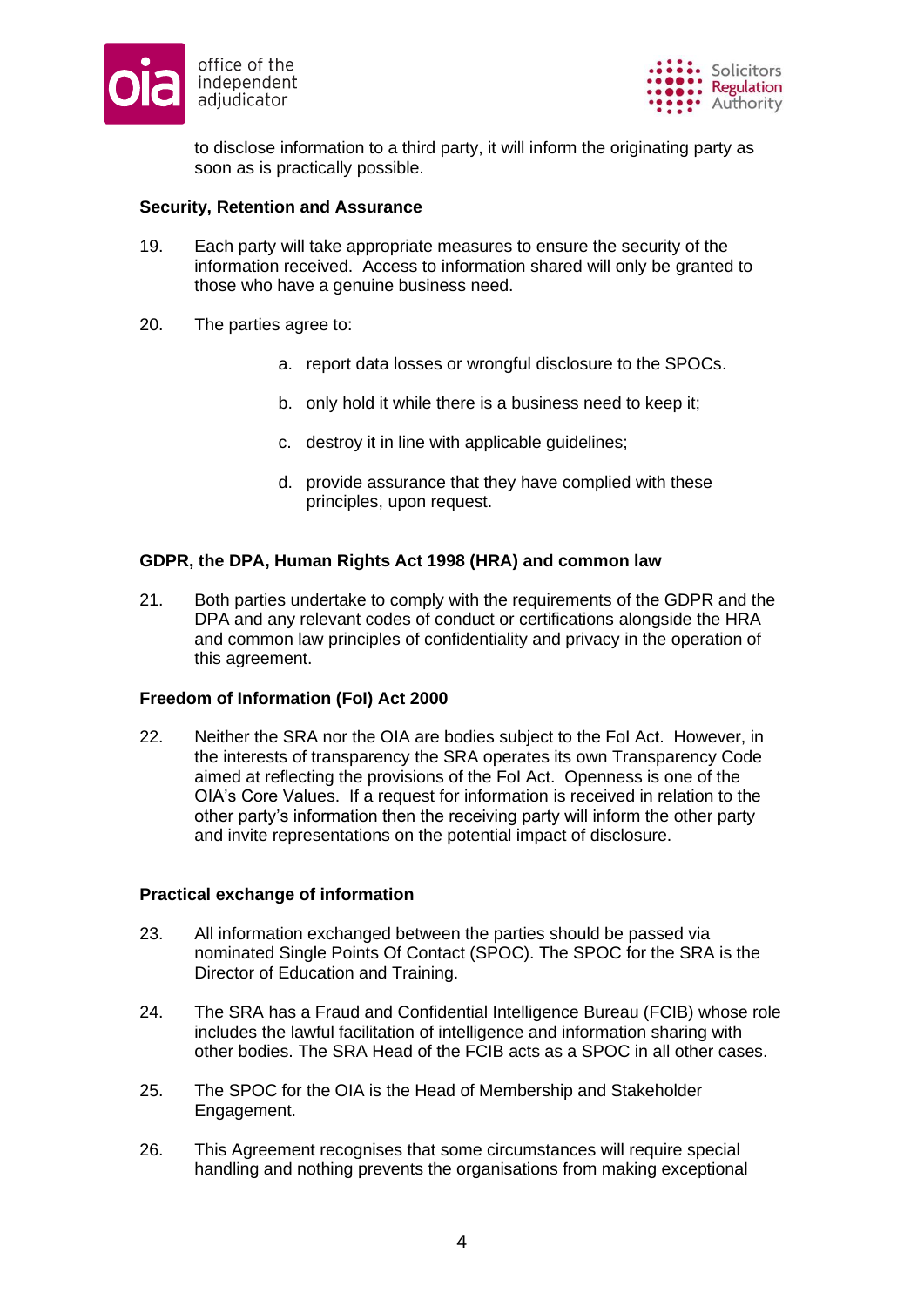



to disclose information to a third party, it will inform the originating party as soon as is practically possible.

#### **Security, Retention and Assurance**

- 19. Each party will take appropriate measures to ensure the security of the information received. Access to information shared will only be granted to those who have a genuine business need.
- 20. The parties agree to:
	- a. report data losses or wrongful disclosure to the SPOCs.
	- b. only hold it while there is a business need to keep it;
	- c. destroy it in line with applicable guidelines;
	- d. provide assurance that they have complied with these principles, upon request.

### **GDPR, the DPA, Human Rights Act 1998 (HRA) and common law**

21. Both parties undertake to comply with the requirements of the GDPR and the DPA and any relevant codes of conduct or certifications alongside the HRA and common law principles of confidentiality and privacy in the operation of this agreement.

## **Freedom of Information (FoI) Act 2000**

22. Neither the SRA nor the OIA are bodies subject to the FoI Act. However, in the interests of transparency the SRA operates its own Transparency Code aimed at reflecting the provisions of the FoI Act. Openness is one of the OIA's Core Values. If a request for information is received in relation to the other party's information then the receiving party will inform the other party and invite representations on the potential impact of disclosure.

#### **Practical exchange of information**

- 23. All information exchanged between the parties should be passed via nominated Single Points Of Contact (SPOC). The SPOC for the SRA is the Director of Education and Training.
- 24. The SRA has a Fraud and Confidential Intelligence Bureau (FCIB) whose role includes the lawful facilitation of intelligence and information sharing with other bodies. The SRA Head of the FCIB acts as a SPOC in all other cases.
- 25. The SPOC for the OIA is the Head of Membership and Stakeholder Engagement.
- 26. This Agreement recognises that some circumstances will require special handling and nothing prevents the organisations from making exceptional